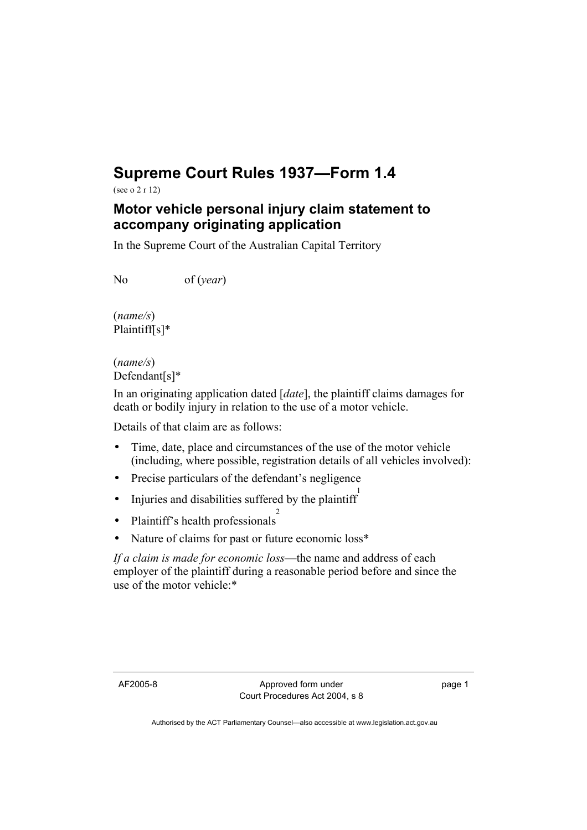## **Supreme Court Rules 1937—Form 1.4**

(see o 2 r 12)

## **Motor vehicle personal injury claim statement to accompany originating application**

In the Supreme Court of the Australian Capital Territory

No of (*year*)

(*name/s*) Plaintiff[s]\*

(*name/s*) Defendant[s]\*

In an originating application dated [*date*], the plaintiff claims damages for death or bodily injury in relation to the use of a motor vehicle.

Details of that claim are as follows:

- Time, date, place and circumstances of the use of the motor vehicle (including, where possible, registration details of all vehicles involved):
- Precise particulars of the defendant's negligence
- Injuries and disabilities suffered by the plaintiff
- Plaintiff's health professionals<sup>2</sup>
- Nature of claims for past or future economic loss\*

*If a claim is made for economic loss*—the name and address of each employer of the plaintiff during a reasonable period before and since the use of the motor vehicle:\*

page 1

Authorised by the ACT Parliamentary Counsel—also accessible at www.legislation.act.gov.au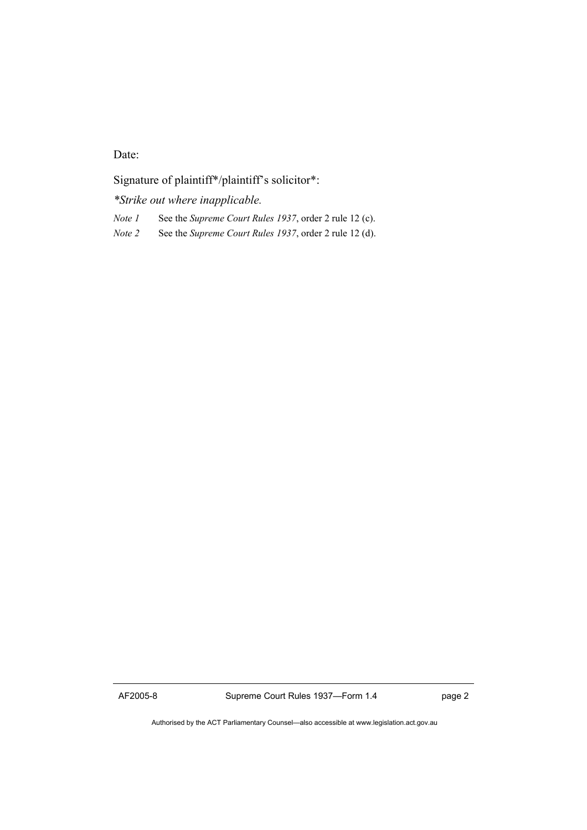Date:

Signature of plaintiff\*/plaintiff's solicitor\*:

*\*Strike out where inapplicable.* 

*Note 1* See the *Supreme Court Rules 1937*, order 2 rule 12 (c).

*Note 2* See the *Supreme Court Rules 1937*, order 2 rule 12 (d).

AF2005-8 Supreme Court Rules 1937—Form 1.4 page 2

Authorised by the ACT Parliamentary Counsel—also accessible at www.legislation.act.gov.au